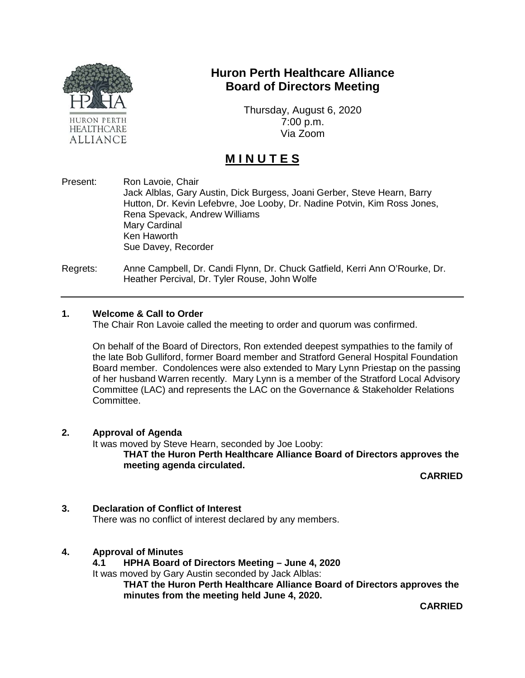

# **Huron Perth Healthcare Alliance Board of Directors Meeting**

Thursday, August 6, 2020 7:00 p.m. Via Zoom

# **M I N U T E S**

Present: Ron Lavoie, Chair Jack Alblas, Gary Austin, Dick Burgess, Joani Gerber, Steve Hearn, Barry Hutton, Dr. Kevin Lefebvre, Joe Looby, Dr. Nadine Potvin, Kim Ross Jones, Rena Spevack, Andrew Williams Mary Cardinal Ken Haworth Sue Davey, Recorder

Regrets: Anne Campbell, Dr. Candi Flynn, Dr. Chuck Gatfield, Kerri Ann O'Rourke, Dr. Heather Percival, Dr. Tyler Rouse, John Wolfe

#### **1. Welcome & Call to Order**

The Chair Ron Lavoie called the meeting to order and quorum was confirmed.

On behalf of the Board of Directors, Ron extended deepest sympathies to the family of the late Bob Gulliford, former Board member and Stratford General Hospital Foundation Board member. Condolences were also extended to Mary Lynn Priestap on the passing of her husband Warren recently. Mary Lynn is a member of the Stratford Local Advisory Committee (LAC) and represents the LAC on the Governance & Stakeholder Relations Committee.

#### **2. Approval of Agenda**

It was moved by Steve Hearn, seconded by Joe Looby:

**THAT the Huron Perth Healthcare Alliance Board of Directors approves the meeting agenda circulated.**

**CARRIED**

# **3. Declaration of Conflict of Interest**

There was no conflict of interest declared by any members.

#### **4. Approval of Minutes**

**4.1 HPHA Board of Directors Meeting – June 4, 2020**

It was moved by Gary Austin seconded by Jack Alblas:

**THAT the Huron Perth Healthcare Alliance Board of Directors approves the minutes from the meeting held June 4, 2020.**

**CARRIED**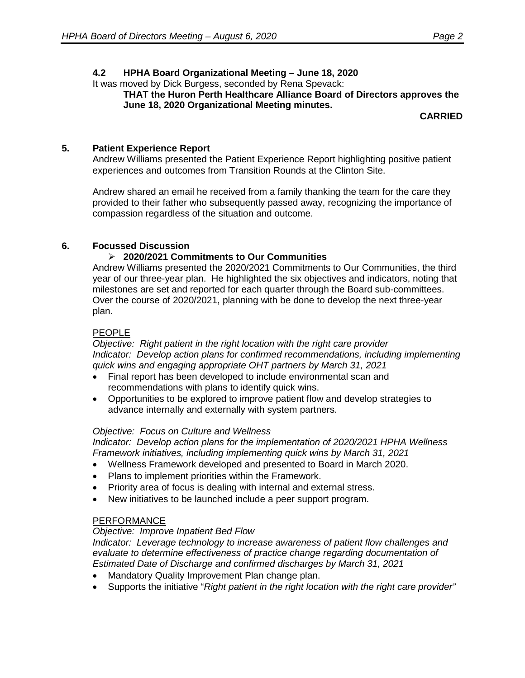# **4.2 HPHA Board Organizational Meeting – June 18, 2020**

It was moved by Dick Burgess, seconded by Rena Spevack:

**THAT the Huron Perth Healthcare Alliance Board of Directors approves the June 18, 2020 Organizational Meeting minutes.**

**CARRIED**

# **5. Patient Experience Report**

Andrew Williams presented the Patient Experience Report highlighting positive patient experiences and outcomes from Transition Rounds at the Clinton Site.

Andrew shared an email he received from a family thanking the team for the care they provided to their father who subsequently passed away, recognizing the importance of compassion regardless of the situation and outcome.

## **6. Focussed Discussion**

## **2020/2021 Commitments to Our Communities**

Andrew Williams presented the 2020/2021 Commitments to Our Communities, the third year of our three-year plan. He highlighted the six objectives and indicators, noting that milestones are set and reported for each quarter through the Board sub-committees. Over the course of 2020/2021, planning with be done to develop the next three-year plan.

## PEOPLE

*Objective: Right patient in the right location with the right care provider Indicator: Develop action plans for confirmed recommendations, including implementing quick wins and engaging appropriate OHT partners by March 31, 2021*

- Final report has been developed to include environmental scan and recommendations with plans to identify quick wins.
- Opportunities to be explored to improve patient flow and develop strategies to advance internally and externally with system partners.

#### *Objective: Focus on Culture and Wellness*

*Indicator: Develop action plans for the implementation of 2020/2021 HPHA Wellness Framework initiatives, including implementing quick wins by March 31, 2021*

- Wellness Framework developed and presented to Board in March 2020.
- Plans to implement priorities within the Framework.
- Priority area of focus is dealing with internal and external stress.
- New initiatives to be launched include a peer support program.

#### PERFORMANCE

#### *Objective: Improve Inpatient Bed Flow*

*Indicator: Leverage technology to increase awareness of patient flow challenges and evaluate to determine effectiveness of practice change regarding documentation of Estimated Date of Discharge and confirmed discharges by March 31, 2021*

- Mandatory Quality Improvement Plan change plan.
- Supports the initiative "*Right patient in the right location with the right care provider"*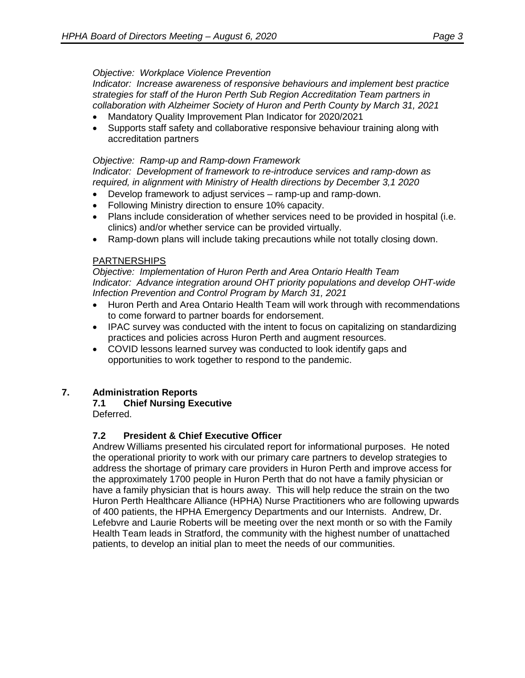#### *Objective: Workplace Violence Prevention*

*Indicator: Increase awareness of responsive behaviours and implement best practice strategies for staff of the Huron Perth Sub Region Accreditation Team partners in collaboration with Alzheimer Society of Huron and Perth County by March 31, 2021*

- Mandatory Quality Improvement Plan Indicator for 2020/2021
- Supports staff safety and collaborative responsive behaviour training along with accreditation partners

#### *Objective: Ramp-up and Ramp-down Framework*

*Indicator: Development of framework to re-introduce services and ramp-down as required, in alignment with Ministry of Health directions by December 3,1 2020*

- Develop framework to adjust services ramp-up and ramp-down.
- Following Ministry direction to ensure 10% capacity.
- Plans include consideration of whether services need to be provided in hospital (i.e. clinics) and/or whether service can be provided virtually.
- Ramp-down plans will include taking precautions while not totally closing down.

## **PARTNERSHIPS**

*Objective: Implementation of Huron Perth and Area Ontario Health Team Indicator: Advance integration around OHT priority populations and develop OHT-wide Infection Prevention and Control Program by March 31, 2021*

- Huron Perth and Area Ontario Health Team will work through with recommendations to come forward to partner boards for endorsement.
- IPAC survey was conducted with the intent to focus on capitalizing on standardizing practices and policies across Huron Perth and augment resources.
- COVID lessons learned survey was conducted to look identify gaps and opportunities to work together to respond to the pandemic.

# **7. Administration Reports**

# **7.1 Chief Nursing Executive**

# Deferred.

# **7.2 President & Chief Executive Officer**

Andrew Williams presented his circulated report for informational purposes. He noted the operational priority to work with our primary care partners to develop strategies to address the shortage of primary care providers in Huron Perth and improve access for the approximately 1700 people in Huron Perth that do not have a family physician or have a family physician that is hours away. This will help reduce the strain on the two Huron Perth Healthcare Alliance (HPHA) Nurse Practitioners who are following upwards of 400 patients, the HPHA Emergency Departments and our Internists. Andrew, Dr. Lefebvre and Laurie Roberts will be meeting over the next month or so with the Family Health Team leads in Stratford, the community with the highest number of unattached patients, to develop an initial plan to meet the needs of our communities.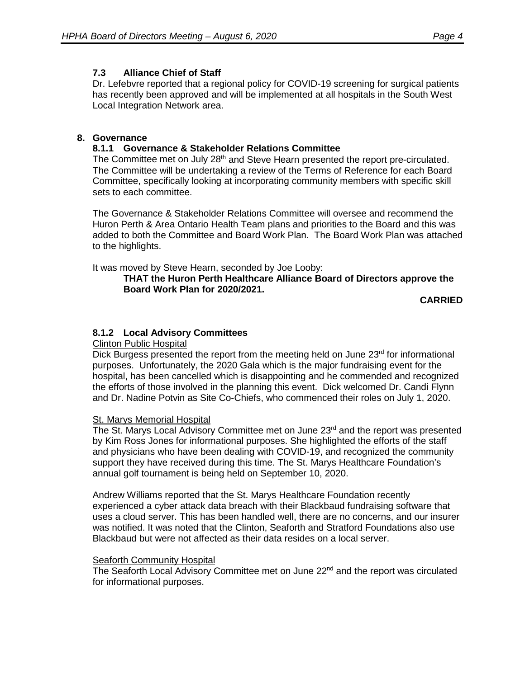# **7.3 Alliance Chief of Staff**

Dr. Lefebvre reported that a regional policy for COVID-19 screening for surgical patients has recently been approved and will be implemented at all hospitals in the South West Local Integration Network area.

## **8. Governance**

#### **8.1.1 Governance & Stakeholder Relations Committee**

The Committee met on July  $28<sup>th</sup>$  and Steve Hearn presented the report pre-circulated. The Committee will be undertaking a review of the Terms of Reference for each Board Committee, specifically looking at incorporating community members with specific skill sets to each committee.

The Governance & Stakeholder Relations Committee will oversee and recommend the Huron Perth & Area Ontario Health Team plans and priorities to the Board and this was added to both the Committee and Board Work Plan. The Board Work Plan was attached to the highlights.

It was moved by Steve Hearn, seconded by Joe Looby:

#### **THAT the Huron Perth Healthcare Alliance Board of Directors approve the Board Work Plan for 2020/2021.**

**CARRIED**

## **8.1.2 Local Advisory Committees**

#### Clinton Public Hospital

Dick Burgess presented the report from the meeting held on June  $23<sup>rd</sup>$  for informational purposes. Unfortunately, the 2020 Gala which is the major fundraising event for the hospital, has been cancelled which is disappointing and he commended and recognized the efforts of those involved in the planning this event. Dick welcomed Dr. Candi Flynn and Dr. Nadine Potvin as Site Co-Chiefs, who commenced their roles on July 1, 2020.

#### **St. Marys Memorial Hospital**

The St. Marys Local Advisory Committee met on June  $23<sup>rd</sup>$  and the report was presented by Kim Ross Jones for informational purposes. She highlighted the efforts of the staff and physicians who have been dealing with COVID-19, and recognized the community support they have received during this time. The St. Marys Healthcare Foundation's annual golf tournament is being held on September 10, 2020.

Andrew Williams reported that the St. Marys Healthcare Foundation recently experienced a cyber attack data breach with their Blackbaud fundraising software that uses a cloud server. This has been handled well, there are no concerns, and our insurer was notified. It was noted that the Clinton, Seaforth and Stratford Foundations also use Blackbaud but were not affected as their data resides on a local server.

#### **Seaforth Community Hospital**

The Seaforth Local Advisory Committee met on June 22<sup>nd</sup> and the report was circulated for informational purposes.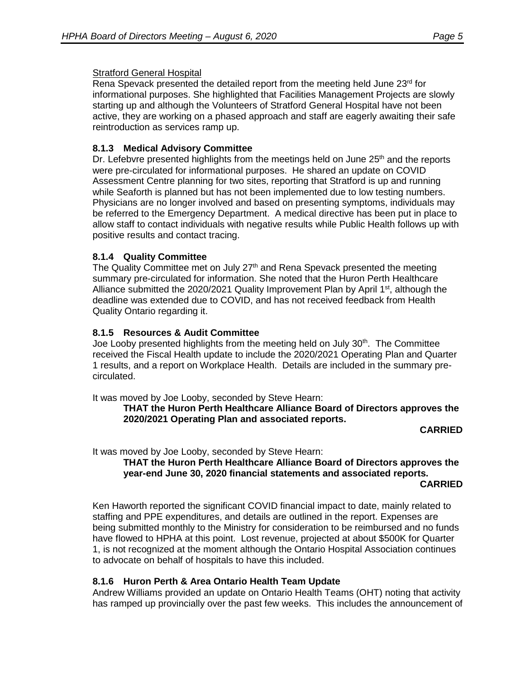#### Stratford General Hospital

Rena Spevack presented the detailed report from the meeting held June  $23<sup>rd</sup>$  for informational purposes. She highlighted that Facilities Management Projects are slowly starting up and although the Volunteers of Stratford General Hospital have not been active, they are working on a phased approach and staff are eagerly awaiting their safe reintroduction as services ramp up.

# **8.1.3 Medical Advisory Committee**

Dr. Lefebvre presented highlights from the meetings held on June  $25<sup>th</sup>$  and the reports were pre-circulated for informational purposes. He shared an update on COVID Assessment Centre planning for two sites, reporting that Stratford is up and running while Seaforth is planned but has not been implemented due to low testing numbers. Physicians are no longer involved and based on presenting symptoms, individuals may be referred to the Emergency Department. A medical directive has been put in place to allow staff to contact individuals with negative results while Public Health follows up with positive results and contact tracing.

#### **8.1.4 Quality Committee**

The Quality Committee met on July 27<sup>th</sup> and Rena Spevack presented the meeting summary pre-circulated for information. She noted that the Huron Perth Healthcare Alliance submitted the 2020/2021 Quality Improvement Plan by April 1<sup>st</sup>, although the deadline was extended due to COVID, and has not received feedback from Health Quality Ontario regarding it.

#### **8.1.5 Resources & Audit Committee**

Joe Looby presented highlights from the meeting held on July 30<sup>th</sup>. The Committee received the Fiscal Health update to include the 2020/2021 Operating Plan and Quarter 1 results, and a report on Workplace Health. Details are included in the summary precirculated.

It was moved by Joe Looby, seconded by Steve Hearn:

**THAT the Huron Perth Healthcare Alliance Board of Directors approves the 2020/2021 Operating Plan and associated reports.**

**CARRIED**

It was moved by Joe Looby, seconded by Steve Hearn:

#### **THAT the Huron Perth Healthcare Alliance Board of Directors approves the year-end June 30, 2020 financial statements and associated reports. CARRIED**

Ken Haworth reported the significant COVID financial impact to date, mainly related to staffing and PPE expenditures, and details are outlined in the report. Expenses are being submitted monthly to the Ministry for consideration to be reimbursed and no funds have flowed to HPHA at this point. Lost revenue, projected at about \$500K for Quarter 1, is not recognized at the moment although the Ontario Hospital Association continues to advocate on behalf of hospitals to have this included.

#### **8.1.6 Huron Perth & Area Ontario Health Team Update**

Andrew Williams provided an update on Ontario Health Teams (OHT) noting that activity has ramped up provincially over the past few weeks. This includes the announcement of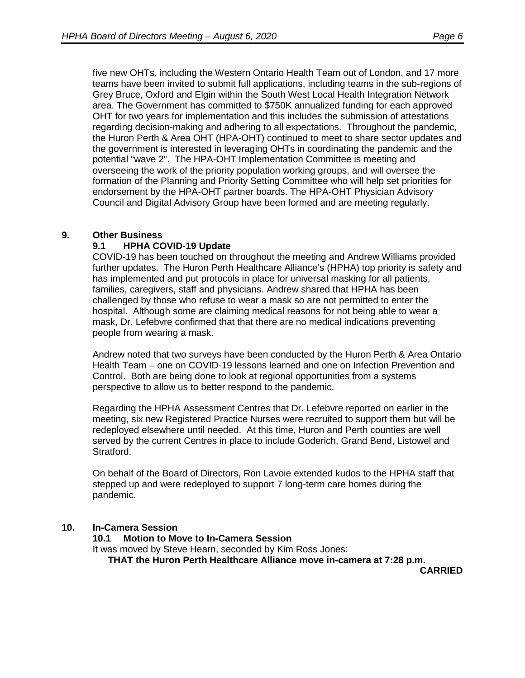five new OHTs, including the Western Ontario Health Team out of London, and 17 more teams have been invited to submit full applications, including teams in the sub-regions of Grey Bruce, Oxford and Elgin within the South West Local Health Integration Network area. The Government has committed to \$750K annualized funding for each approved OHT for two years for implementation and this includes the submission of attestations regarding decision-making and adhering to all expectations. Throughout the pandemic, the Huron Perth & Area OHT (HPA-OHT) continued to meet to share sector updates and the government is interested in leveraging OHTs in coordinating the pandemic and the potential "wave 2". The HPA-OHT Implementation Committee is meeting and overseeing the work of the priority population working groups, and will oversee the formation of the Planning and Priority Setting Committee who will help set priorities for endorsement by the HPA-OHT partner boards. The HPA-OHT Physician Advisory Council and Digital Advisory Group have been formed and are meeting regularly.

#### **9. Other Business**

#### **9.1 HPHA COVID-19 Update**

COVID-19 has been touched on throughout the meeting and Andrew Williams provided further updates. The Huron Perth Healthcare Alliance's (HPHA) top priority is safety and has implemented and put protocols in place for universal masking for all patients, families, caregivers, staff and physicians. Andrew shared that HPHA has been challenged by those who refuse to wear a mask so are not permitted to enter the hospital. Although some are claiming medical reasons for not being able to wear a mask, Dr. Lefebvre confirmed that that there are no medical indications preventing people from wearing a mask.

Andrew noted that two surveys have been conducted by the Huron Perth & Area Ontario Health Team – one on COVID-19 lessons learned and one on Infection Prevention and Control. Both are being done to look at regional opportunities from a systems perspective to allow us to better respond to the pandemic.

Regarding the HPHA Assessment Centres that Dr. Lefebvre reported on earlier in the meeting, six new Registered Practice Nurses were recruited to support them but will be redeployed elsewhere until needed. At this time, Huron and Perth counties are well served by the current Centres in place to include Goderich, Grand Bend, Listowel and Stratford.

On behalf of the Board of Directors, Ron Lavoie extended kudos to the HPHA staff that stepped up and were redeployed to support 7 long-term care homes during the pandemic.

# **10. In-Camera Session**

**10.1 Motion to Move to In-Camera Session**

It was moved by Steve Hearn, seconded by Kim Ross Jones:

**THAT the Huron Perth Healthcare Alliance move in-camera at 7:28 p.m.**

**CARRIED**